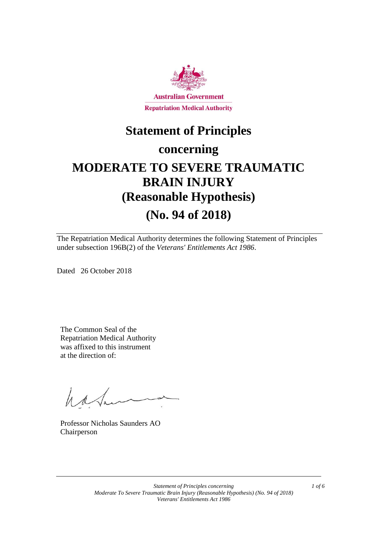

### **Statement of Principles**

### **concerning**

# **MODERATE TO SEVERE TRAUMATIC BRAIN INJURY (Reasonable Hypothesis)**

# **(No. 94 of 2018)**

The Repatriation Medical Authority determines the following Statement of Principles under subsection 196B(2) of the *Veterans' Entitlements Act 1986*.

Dated 26 October 2018

The Common Seal of the Repatriation Medical Authority was affixed to this instrument at the direction of:

hatan

Professor Nicholas Saunders AO Chairperson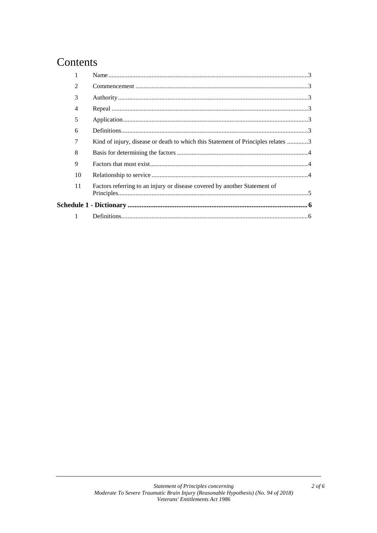## Contents

|  | $\mathfrak{D}$ |                                                                                  |  |  |
|--|----------------|----------------------------------------------------------------------------------|--|--|
|  | 3              |                                                                                  |  |  |
|  | 4              |                                                                                  |  |  |
|  | 5              |                                                                                  |  |  |
|  | 6              |                                                                                  |  |  |
|  | 7              | Kind of injury, disease or death to which this Statement of Principles relates 3 |  |  |
|  | 8              |                                                                                  |  |  |
|  | 9              |                                                                                  |  |  |
|  | 10             |                                                                                  |  |  |
|  | 11             | Factors referring to an injury or disease covered by another Statement of        |  |  |
|  |                |                                                                                  |  |  |
|  |                |                                                                                  |  |  |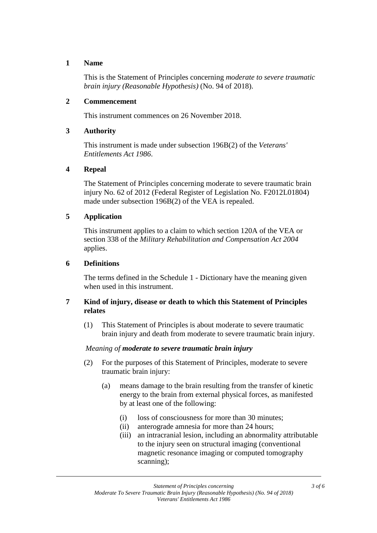#### **1 Name**

This is the Statement of Principles concerning *moderate to severe traumatic brain injury (Reasonable Hypothesis)* (No. 94 of 2018).

#### **2 Commencement**

This instrument commences on 26 November 2018.

#### **3 Authority**

This instrument is made under subsection 196B(2) of the *Veterans' Entitlements Act 1986*.

#### **4 Repeal**

The Statement of Principles concerning moderate to severe traumatic brain injury No. 62 of 2012 (Federal Register of Legislation No. F2012L01804) made under subsection 196B(2) of the VEA is repealed.

#### **5 Application**

This instrument applies to a claim to which section 120A of the VEA or section 338 of the *Military Rehabilitation and Compensation Act 2004* applies.

#### **6 Definitions**

The terms defined in the Schedule 1 - Dictionary have the meaning given when used in this instrument.

#### **7 Kind of injury, disease or death to which this Statement of Principles relates**

(1) This Statement of Principles is about moderate to severe traumatic brain injury and death from moderate to severe traumatic brain injury.

#### *Meaning of moderate to severe traumatic brain injury*

- (2) For the purposes of this Statement of Principles, moderate to severe traumatic brain injury:
	- (a) means damage to the brain resulting from the transfer of kinetic energy to the brain from external physical forces, as manifested by at least one of the following:
		- (i) loss of consciousness for more than 30 minutes;
		- (ii) anterograde amnesia for more than 24 hours;
		- (iii) an intracranial lesion, including an abnormality attributable to the injury seen on structural imaging (conventional magnetic resonance imaging or computed tomography scanning);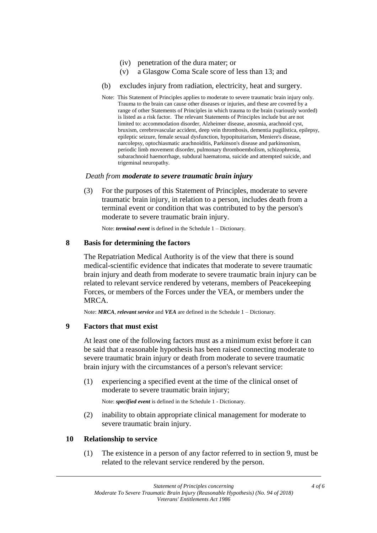- (iv) penetration of the dura mater; or
- (v) a Glasgow Coma Scale score of less than 13; and
- (b) excludes injury from radiation, electricity, heat and surgery.
- Note: This Statement of Principles applies to moderate to severe traumatic brain injury only. Trauma to the brain can cause other diseases or injuries, and these are covered by a range of other Statements of Principles in which trauma to the brain (variously worded) is listed as a risk factor. The relevant Statements of Principles include but are not limited to: accommodation disorder, Alzheimer disease, anosmia, arachnoid cyst, bruxism, cerebrovascular accident, deep vein thrombosis, dementia pugilistica, epilepsy, epileptic seizure, female sexual dysfunction, hypopituitarism, Meniere's disease, narcolepsy, optochiasmatic arachnoiditis, Parkinson's disease and parkinsonism, periodic limb movement disorder, pulmonary thromboembolism, schizophrenia, subarachnoid haemorrhage, subdural haematoma, suicide and attempted suicide, and trigeminal neuropathy.

#### *Death from moderate to severe traumatic brain injury*

(3) For the purposes of this Statement of Principles, moderate to severe traumatic brain injury, in relation to a person, includes death from a terminal event or condition that was contributed to by the person's moderate to severe traumatic brain injury.

Note: *terminal event* is defined in the Schedule 1 – Dictionary.

#### **8 Basis for determining the factors**

The Repatriation Medical Authority is of the view that there is sound medical-scientific evidence that indicates that moderate to severe traumatic brain injury and death from moderate to severe traumatic brain injury can be related to relevant service rendered by veterans, members of Peacekeeping Forces, or members of the Forces under the VEA, or members under the MRCA.

Note: *MRCA*, *relevant service* and *VEA* are defined in the Schedule 1 – Dictionary.

#### **9 Factors that must exist**

At least one of the following factors must as a minimum exist before it can be said that a reasonable hypothesis has been raised connecting moderate to severe traumatic brain injury or death from moderate to severe traumatic brain injury with the circumstances of a person's relevant service:

(1) experiencing a specified event at the time of the clinical onset of moderate to severe traumatic brain injury;

Note: *specified event* is defined in the Schedule 1 - Dictionary.

(2) inability to obtain appropriate clinical management for moderate to severe traumatic brain injury.

#### **10 Relationship to service**

(1) The existence in a person of any factor referred to in section 9, must be related to the relevant service rendered by the person.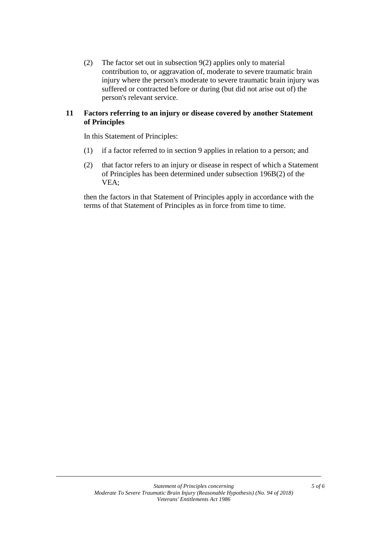(2) The factor set out in subsection 9(2) applies only to material contribution to, or aggravation of, moderate to severe traumatic brain injury where the person's moderate to severe traumatic brain injury was suffered or contracted before or during (but did not arise out of) the person's relevant service.

#### **11 Factors referring to an injury or disease covered by another Statement of Principles**

In this Statement of Principles:

- (1) if a factor referred to in section 9 applies in relation to a person; and
- (2) that factor refers to an injury or disease in respect of which a Statement of Principles has been determined under subsection 196B(2) of the VEA;

then the factors in that Statement of Principles apply in accordance with the terms of that Statement of Principles as in force from time to time.